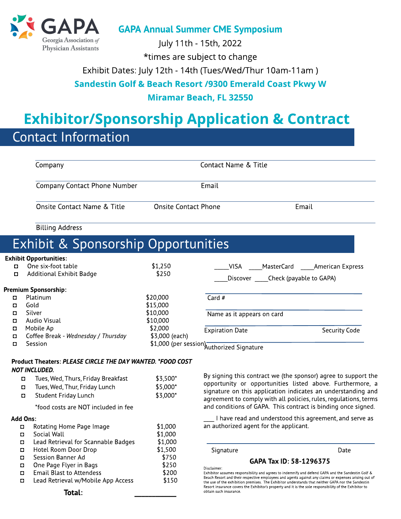

GAPA Annual Summer CME Symposium

July 11th - 15th, 2022

\* times are subject to change

Exhibit Dates: July 12th - 14th (Tues/Wed/Thur 10am-11am )

#### Sandestin Golf & Beach Resort /9300 Emerald Coast Pkwy W

#### Miramar Beach, FL 32550

# **Exhibitor/Sponsorship Application & Contract**

## Contact Information

|                 | Company                                                    |                             | Contact Name & Title                       |                                                                                                                                                                                                           |  |
|-----------------|------------------------------------------------------------|-----------------------------|--------------------------------------------|-----------------------------------------------------------------------------------------------------------------------------------------------------------------------------------------------------------|--|
|                 | <b>Company Contact Phone Number</b>                        |                             | Email                                      |                                                                                                                                                                                                           |  |
|                 | Onsite Contact Name & Title                                | <b>Onsite Contact Phone</b> |                                            | Email                                                                                                                                                                                                     |  |
|                 | <b>Billing Address</b>                                     |                             |                                            |                                                                                                                                                                                                           |  |
|                 | Exhibit & Sponsorship Opportunities                        |                             |                                            |                                                                                                                                                                                                           |  |
|                 | <b>Exhibit Opportunities:</b>                              |                             |                                            |                                                                                                                                                                                                           |  |
| $\Box$          | One six-foot table                                         | \$1,250                     | <b>VISA</b><br>MasterCard                  | <b>Express</b> American Express                                                                                                                                                                           |  |
| $\Box$          | <b>Additional Exhibit Badge</b>                            | \$250                       | Discover ______Check (payable to GAPA)     |                                                                                                                                                                                                           |  |
|                 | <b>Premium Sponsorship:</b>                                |                             |                                            |                                                                                                                                                                                                           |  |
| O               | Platinum                                                   | \$20,000                    | Card #                                     |                                                                                                                                                                                                           |  |
| O               | Gold                                                       | \$15,000                    |                                            |                                                                                                                                                                                                           |  |
| O               | Silver                                                     | \$10,000                    | Name as it appears on card                 |                                                                                                                                                                                                           |  |
| $\Box$          | Audio Visual                                               | \$10,000                    |                                            |                                                                                                                                                                                                           |  |
| O               | Mobile Ap                                                  | \$2,000                     | <b>Expiration Date</b>                     | Security Code                                                                                                                                                                                             |  |
| $\Box$          | Coffee Break - Wednesday / Thursday                        | \$3,000 (each)              |                                            |                                                                                                                                                                                                           |  |
| $\Box$          | Session                                                    |                             | \$1,000 (per session) Authorized Signature |                                                                                                                                                                                                           |  |
|                 | Product Theaters: PLEASE CIRCLE THE DAY WANTED. *FOOD COST |                             |                                            |                                                                                                                                                                                                           |  |
|                 | <b>NOT INCLUDED.</b>                                       |                             |                                            |                                                                                                                                                                                                           |  |
|                 | Tues, Wed, Thurs, Friday Breakfast<br>$\Box$               | \$3,500*                    |                                            | By signing this contract we (the sponsor) agree to support the                                                                                                                                            |  |
|                 | Tues, Wed, Thur, Friday Lunch<br>$\Box$                    | \$5,000*                    |                                            | opportunity or opportunities listed above. Furthermore, a                                                                                                                                                 |  |
|                 | Student Friday Lunch<br>$\Box$                             | \$3,000*                    |                                            | signature on this application indicates an understanding and                                                                                                                                              |  |
|                 | *food costs are NOT included in fee                        |                             |                                            | agreement to comply with all policies, rules, regulations, terms<br>and conditions of GAPA. This contract is binding once signed.                                                                         |  |
| <b>Add Ons:</b> |                                                            |                             |                                            | I have read and understood this agreement, and serve as                                                                                                                                                   |  |
|                 | Rotating Home Page Image<br>O                              | \$1,000                     | an authorized agent for the applicant.     |                                                                                                                                                                                                           |  |
|                 | Social Wall<br>O                                           | \$1,000                     |                                            |                                                                                                                                                                                                           |  |
|                 | Lead Retrieval for Scannable Badges<br>$\Box$              | \$1,000                     |                                            |                                                                                                                                                                                                           |  |
|                 | Hotel Room Door Drop<br>$\Box$                             | \$1,500                     | Signature                                  | Date                                                                                                                                                                                                      |  |
|                 | Session Banner Ad<br>O                                     | \$750                       | GAPA Tax ID: 58-1296375                    |                                                                                                                                                                                                           |  |
|                 | One Page Flyer in Bags<br>$\Box$                           | \$250                       | Disclaimer:                                |                                                                                                                                                                                                           |  |
|                 | <b>Email Blast to Attendess</b><br>$\Box$                  | \$200                       |                                            | Exhibitor assumes responsibility and agrees to indemnify and defend GAPA and the Sandestin Golf &<br>Beach Resort and their respective employees and agents against any claims or expenses arising out of |  |
|                 | Lead Retrieval w/Mobile App Access<br>$\Box$               | \$150                       |                                            | the use of the exhibition premises. The Exhibitor understands that neither GAPA nor the Sandestin                                                                                                         |  |

obtain such insurance.

Resort insurance covers the Exhibitor?s property and it is the sole responsibility of the Exhibitor to